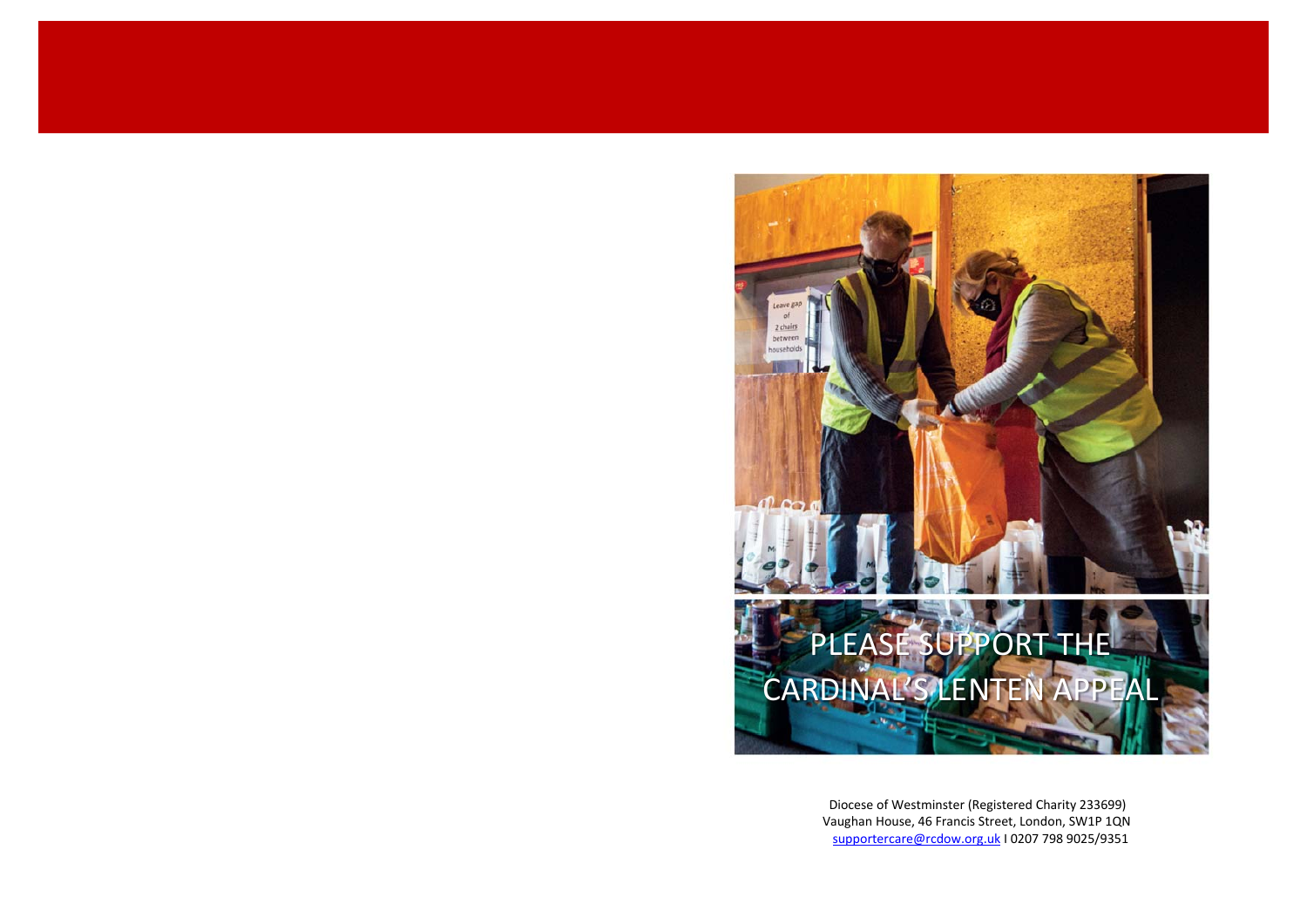

Diocese of Westminster (Registered Charity 233699) Vaughan House, 46 Francis Street, London, SW1P 1QN supportercare@rcdow.org.uk I 0207 798 9025/9351